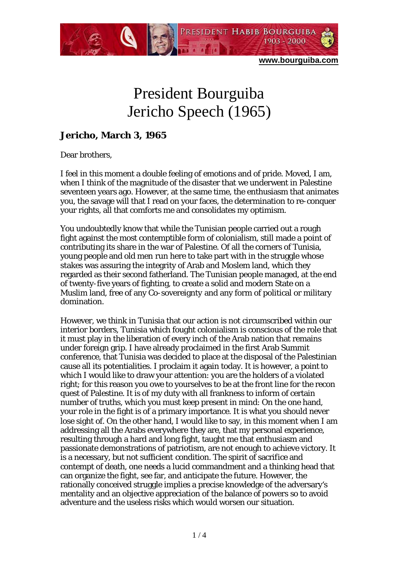

## President Bourguiba Jericho Speech (1965)

## **Jericho, March 3, 1965**

Dear brothers,

I feel in this moment a double feeling of emotions and of pride. Moved, I am, when I think of the magnitude of the disaster that we underwent in Palestine seventeen years ago. However, at the same time, the enthusiasm that animates you, the savage will that I read on your faces, the determination to re-conquer your rights, all that comforts me and consolidates my optimism.

You undoubtedly know that while the Tunisian people carried out a rough fight against the most contemptible form of colonialism, still made a point of contributing its share in the war of Palestine. Of all the corners of Tunisia, young people and old men run here to take part with in the struggle whose stakes was assuring the integrity of Arab and Moslem land, which they regarded as their second fatherland. The Tunisian people managed, at the end of twenty-five years of fighting, to create a solid and modern State on a Muslim land, free of any Co-sovereignty and any form of political or military domination.

However, we think in Tunisia that our action is not circumscribed within our interior borders, Tunisia which fought colonialism is conscious of the role that it must play in the liberation of every inch of the Arab nation that remains under foreign grip. I have already proclaimed in the first Arab Summit conference, that Tunisia was decided to place at the disposal of the Palestinian cause all its potentialities. I proclaim it again today. It is however, a point to which I would like to draw your attention: you are the holders of a violated right; for this reason you owe to yourselves to be at the front line for the recon quest of Palestine. It is of my duty with all frankness to inform of certain number of truths, which you must keep present in mind: On the one hand, your role in the fight is of a primary importance. It is what you should never lose sight of. On the other hand, I would like to say, in this moment when I am addressing all the Arabs everywhere they are, that my personal experience, resulting through a hard and long fight, taught me that enthusiasm and passionate demonstrations of patriotism, are not enough to achieve victory. It is a necessary, but not sufficient condition. The spirit of sacrifice and contempt of death, one needs a lucid commandment and a thinking head that can organize the fight, see far, and anticipate the future. However, the rationally conceived struggle implies a precise knowledge of the adversary's mentality and an objective appreciation of the balance of powers so to avoid adventure and the useless risks which would worsen our situation.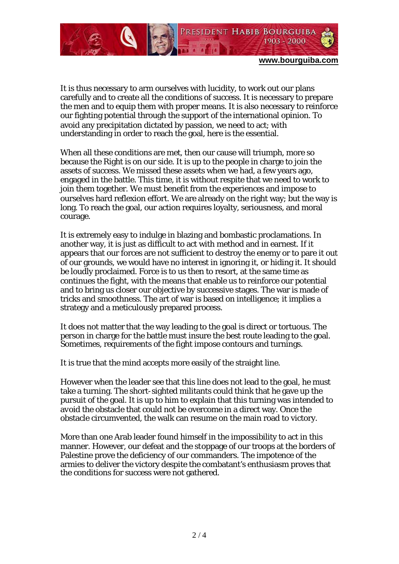

**www.bourguiba.com**

It is thus necessary to arm ourselves with lucidity, to work out our plans carefully and to create all the conditions of success. It is necessary to prepare the men and to equip them with proper means. It is also necessary to reinforce our fighting potential through the support of the international opinion. To avoid any precipitation dictated by passion, we need to act; with understanding in order to reach the goal, here is the essential.

When all these conditions are met, then our cause will triumph, more so because the Right is on our side. It is up to the people in charge to join the assets of success. We missed these assets when we had, a few years ago, engaged in the battle. This time, it is without respite that we need to work to join them together. We must benefit from the experiences and impose to ourselves hard reflexion effort. We are already on the right way; but the way is long. To reach the goal, our action requires loyalty, seriousness, and moral courage.

It is extremely easy to indulge in blazing and bombastic proclamations. In another way, it is just as difficult to act with method and in earnest. If it appears that our forces are not sufficient to destroy the enemy or to pare it out of our grounds, we would have no interest in ignoring it, or hiding it. It should be loudly proclaimed. Force is to us then to resort, at the same time as continues the fight, with the means that enable us to reinforce our potential and to bring us closer our objective by successive stages. The war is made of tricks and smoothness. The art of war is based on intelligence; it implies a strategy and a meticulously prepared process.

It does not matter that the way leading to the goal is direct or tortuous. The person in charge for the battle must insure the best route leading to the goal. Sometimes, requirements of the fight impose contours and turnings.

It is true that the mind accepts more easily of the straight line.

However when the leader see that this line does not lead to the goal, he must take a turning. The short-sighted militants could think that he gave up the pursuit of the goal. It is up to him to explain that this turning was intended to avoid the obstacle that could not be overcome in a direct way. Once the obstacle circumvented, the walk can resume on the main road to victory.

More than one Arab leader found himself in the impossibility to act in this manner. However, our defeat and the stoppage of our troops at the borders of Palestine prove the deficiency of our commanders. The impotence of the armies to deliver the victory despite the combatant's enthusiasm proves that the conditions for success were not gathered.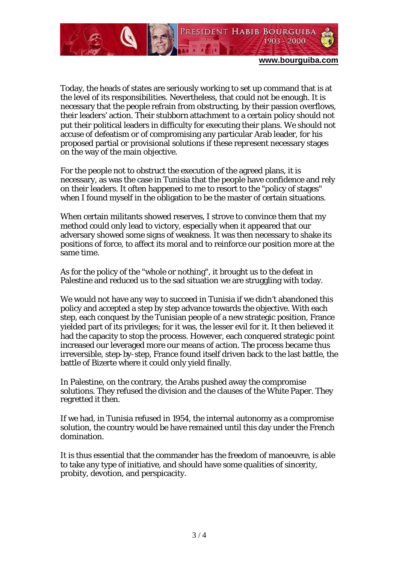

**www.bourguiba.com**

Today, the heads of states are seriously working to set up command that is at the level of its responsibilities. Nevertheless, that could not be enough. It is necessary that the people refrain from obstructing, by their passion overflows, their leaders' action. Their stubborn attachment to a certain policy should not put their political leaders in difficulty for executing their plans. We should not accuse of defeatism or of compromising any particular Arab leader, for his proposed partial or provisional solutions if these represent necessary stages on the way of the main objective.

For the people not to obstruct the execution of the agreed plans, it is necessary, as was the case in Tunisia that the people have confidence and rely on their leaders. It often happened to me to resort to the "policy of stages" when I found myself in the obligation to be the master of certain situations.

When certain militants showed reserves, I strove to convince them that my method could only lead to victory, especially when it appeared that our adversary showed some signs of weakness. It was then necessary to shake its positions of force, to affect its moral and to reinforce our position more at the same time.

As for the policy of the "whole or nothing", it brought us to the defeat in Palestine and reduced us to the sad situation we are struggling with today.

We would not have any way to succeed in Tunisia if we didn't abandoned this policy and accepted a step by step advance towards the objective. With each step, each conquest by the Tunisian people of a new strategic position, France yielded part of its privileges; for it was, the lesser evil for it. It then believed it had the capacity to stop the process. However, each conquered strategic point increased our leveraged more our means of action. The process became thus irreversible, step-by-step, France found itself driven back to the last battle, the battle of Bizerte where it could only yield finally.

In Palestine, on the contrary, the Arabs pushed away the compromise solutions. They refused the division and the clauses of the White Paper. They regretted it then.

If we had, in Tunisia refused in 1954, the internal autonomy as a compromise solution, the country would be have remained until this day under the French domination.

It is thus essential that the commander has the freedom of manoeuvre, is able to take any type of initiative, and should have some qualities of sincerity, probity, devotion, and perspicacity.